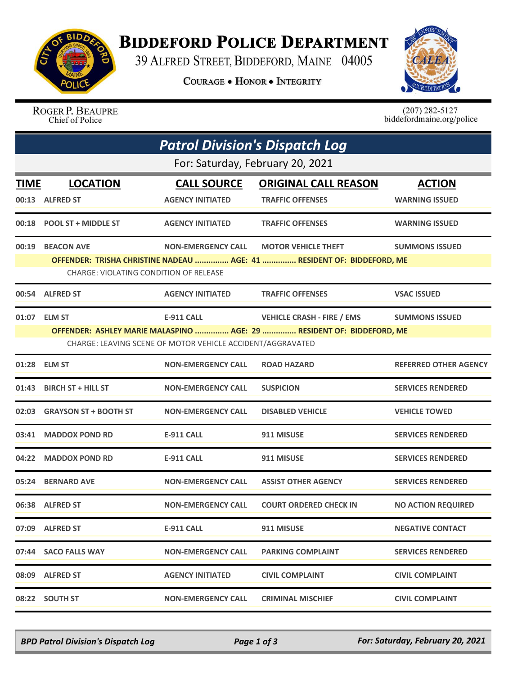

## **BIDDEFORD POLICE DEPARTMENT**

39 ALFRED STREET, BIDDEFORD, MAINE 04005

**COURAGE . HONOR . INTEGRITY** 



ROGER P. BEAUPRE Chief of Police

 $(207)$  282-5127<br>biddefordmaine.org/police

| <b>Patrol Division's Dispatch Log</b> |                                               |                                                            |                                                                                                      |                              |  |  |  |
|---------------------------------------|-----------------------------------------------|------------------------------------------------------------|------------------------------------------------------------------------------------------------------|------------------------------|--|--|--|
| For: Saturday, February 20, 2021      |                                               |                                                            |                                                                                                      |                              |  |  |  |
| <b>TIME</b>                           | <b>LOCATION</b>                               | <b>CALL SOURCE</b>                                         | <b>ORIGINAL CALL REASON</b>                                                                          | <b>ACTION</b>                |  |  |  |
|                                       | 00:13 ALFRED ST                               | <b>AGENCY INITIATED</b>                                    | <b>TRAFFIC OFFENSES</b>                                                                              | <b>WARNING ISSUED</b>        |  |  |  |
| 00:18                                 | <b>POOL ST + MIDDLE ST</b>                    | <b>AGENCY INITIATED</b>                                    | <b>TRAFFIC OFFENSES</b>                                                                              | <b>WARNING ISSUED</b>        |  |  |  |
| 00:19                                 | <b>BEACON AVE</b>                             | <b>NON-EMERGENCY CALL</b>                                  | <b>MOTOR VEHICLE THEFT</b><br>OFFENDER: TRISHA CHRISTINE NADEAU  AGE: 41  RESIDENT OF: BIDDEFORD, ME | <b>SUMMONS ISSUED</b>        |  |  |  |
|                                       | <b>CHARGE: VIOLATING CONDITION OF RELEASE</b> |                                                            |                                                                                                      |                              |  |  |  |
|                                       | 00:54 ALFRED ST                               | <b>AGENCY INITIATED</b>                                    | <b>TRAFFIC OFFENSES</b>                                                                              | <b>VSAC ISSUED</b>           |  |  |  |
| 01:07                                 | <b>ELM ST</b>                                 | <b>E-911 CALL</b>                                          | <b>VEHICLE CRASH - FIRE / EMS</b>                                                                    | <b>SUMMONS ISSUED</b>        |  |  |  |
|                                       |                                               |                                                            | OFFENDER: ASHLEY MARIE MALASPINO  AGE: 29  RESIDENT OF: BIDDEFORD, ME                                |                              |  |  |  |
|                                       |                                               | CHARGE: LEAVING SCENE OF MOTOR VEHICLE ACCIDENT/AGGRAVATED |                                                                                                      |                              |  |  |  |
|                                       | 01:28 ELM ST                                  | <b>NON-EMERGENCY CALL</b>                                  | <b>ROAD HAZARD</b>                                                                                   | <b>REFERRED OTHER AGENCY</b> |  |  |  |
| 01:43                                 | <b>BIRCH ST + HILL ST</b>                     | <b>NON-EMERGENCY CALL</b>                                  | <b>SUSPICION</b>                                                                                     | <b>SERVICES RENDERED</b>     |  |  |  |
| 02:03                                 | <b>GRAYSON ST + BOOTH ST</b>                  | <b>NON-EMERGENCY CALL</b>                                  | <b>DISABLED VEHICLE</b>                                                                              | <b>VEHICLE TOWED</b>         |  |  |  |
| 03:41                                 | <b>MADDOX POND RD</b>                         | <b>E-911 CALL</b>                                          | 911 MISUSE                                                                                           | <b>SERVICES RENDERED</b>     |  |  |  |
| 04:22                                 | <b>MADDOX POND RD</b>                         | <b>E-911 CALL</b>                                          | 911 MISUSE                                                                                           | <b>SERVICES RENDERED</b>     |  |  |  |
| 05:24                                 | <b>BERNARD AVE</b>                            | <b>NON-EMERGENCY CALL</b>                                  | <b>ASSIST OTHER AGENCY</b>                                                                           | <b>SERVICES RENDERED</b>     |  |  |  |
|                                       | 06:38 ALFRED ST                               | <b>NON-EMERGENCY CALL</b>                                  | <b>COURT ORDERED CHECK IN</b>                                                                        | <b>NO ACTION REQUIRED</b>    |  |  |  |
|                                       | 07:09 ALFRED ST                               | E-911 CALL                                                 | 911 MISUSE                                                                                           | <b>NEGATIVE CONTACT</b>      |  |  |  |
|                                       | 07:44 SACO FALLS WAY                          | <b>NON-EMERGENCY CALL</b>                                  | <b>PARKING COMPLAINT</b>                                                                             | <b>SERVICES RENDERED</b>     |  |  |  |
|                                       | 08:09 ALFRED ST                               | <b>AGENCY INITIATED</b>                                    | <b>CIVIL COMPLAINT</b>                                                                               | <b>CIVIL COMPLAINT</b>       |  |  |  |
|                                       | 08:22 SOUTH ST                                | <b>NON-EMERGENCY CALL</b>                                  | <b>CRIMINAL MISCHIEF</b>                                                                             | <b>CIVIL COMPLAINT</b>       |  |  |  |

*BPD Patrol Division's Dispatch Log Page 1 of 3 For: Saturday, February 20, 2021*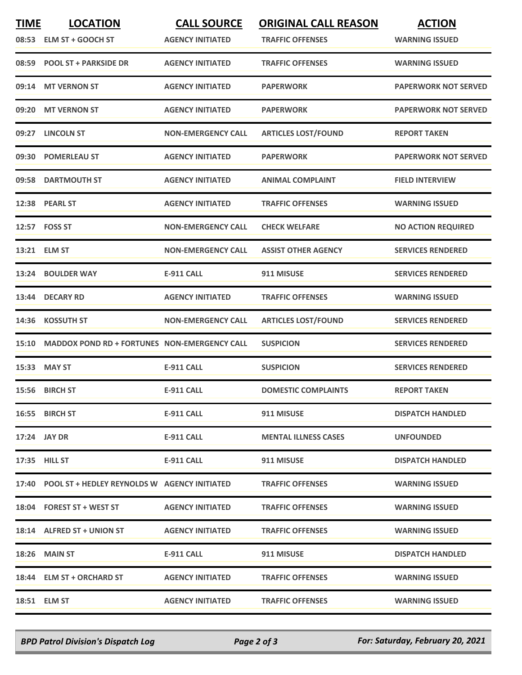| <b>TIME</b> | <b>LOCATION</b><br>08:53 ELM ST + GOOCH ST          | <b>CALL SOURCE</b><br><b>AGENCY INITIATED</b> | <b>ORIGINAL CALL REASON</b><br><b>TRAFFIC OFFENSES</b> | <b>ACTION</b><br><b>WARNING ISSUED</b> |
|-------------|-----------------------------------------------------|-----------------------------------------------|--------------------------------------------------------|----------------------------------------|
|             | 08:59 POOL ST + PARKSIDE DR                         | <b>AGENCY INITIATED</b>                       | <b>TRAFFIC OFFENSES</b>                                | <b>WARNING ISSUED</b>                  |
|             | 09:14 MT VERNON ST                                  | <b>AGENCY INITIATED</b>                       | <b>PAPERWORK</b>                                       | <b>PAPERWORK NOT SERVED</b>            |
| 09:20       | <b>MT VERNON ST</b>                                 | <b>AGENCY INITIATED</b>                       | <b>PAPERWORK</b>                                       | <b>PAPERWORK NOT SERVED</b>            |
|             | 09:27 LINCOLN ST                                    | <b>NON-EMERGENCY CALL</b>                     | <b>ARTICLES LOST/FOUND</b>                             | <b>REPORT TAKEN</b>                    |
|             | 09:30 POMERLEAU ST                                  | <b>AGENCY INITIATED</b>                       | <b>PAPERWORK</b>                                       | <b>PAPERWORK NOT SERVED</b>            |
| 09:58       | <b>DARTMOUTH ST</b>                                 | <b>AGENCY INITIATED</b>                       | <b>ANIMAL COMPLAINT</b>                                | <b>FIELD INTERVIEW</b>                 |
|             | 12:38 PEARL ST                                      | <b>AGENCY INITIATED</b>                       | <b>TRAFFIC OFFENSES</b>                                | <b>WARNING ISSUED</b>                  |
|             | 12:57    FOSS ST                                    | <b>NON-EMERGENCY CALL</b>                     | <b>CHECK WELFARE</b>                                   | <b>NO ACTION REQUIRED</b>              |
|             | 13:21 ELM ST                                        | <b>NON-EMERGENCY CALL</b>                     | <b>ASSIST OTHER AGENCY</b>                             | <b>SERVICES RENDERED</b>               |
|             | 13:24 BOULDER WAY                                   | <b>E-911 CALL</b>                             | 911 MISUSE                                             | <b>SERVICES RENDERED</b>               |
|             | 13:44 DECARY RD                                     | <b>AGENCY INITIATED</b>                       | <b>TRAFFIC OFFENSES</b>                                | <b>WARNING ISSUED</b>                  |
| 14:36       | <b>KOSSUTH ST</b>                                   | <b>NON-EMERGENCY CALL</b>                     | <b>ARTICLES LOST/FOUND</b>                             | <b>SERVICES RENDERED</b>               |
| 15:10       | <b>MADDOX POND RD + FORTUNES NON-EMERGENCY CALL</b> |                                               | <b>SUSPICION</b>                                       | <b>SERVICES RENDERED</b>               |
|             | 15:33 MAY ST                                        | <b>E-911 CALL</b>                             | <b>SUSPICION</b>                                       | <b>SERVICES RENDERED</b>               |
|             | 15:56 BIRCH ST                                      | <b>E-911 CALL</b>                             | <b>DOMESTIC COMPLAINTS</b>                             | <b>REPORT TAKEN</b>                    |
|             | 16:55 BIRCH ST                                      | <b>E-911 CALL</b>                             | 911 MISUSE                                             | <b>DISPATCH HANDLED</b>                |
|             | 17:24 JAY DR                                        | E-911 CALL                                    | <b>MENTAL ILLNESS CASES</b>                            | <b>UNFOUNDED</b>                       |
|             | 17:35 HILL ST                                       | E-911 CALL                                    | 911 MISUSE                                             | <b>DISPATCH HANDLED</b>                |
|             | 17:40 POOL ST + HEDLEY REYNOLDS W AGENCY INITIATED  |                                               | <b>TRAFFIC OFFENSES</b>                                | <b>WARNING ISSUED</b>                  |
|             | 18:04 FOREST ST + WEST ST                           | <b>AGENCY INITIATED</b>                       | <b>TRAFFIC OFFENSES</b>                                | <b>WARNING ISSUED</b>                  |
|             | 18:14 ALFRED ST + UNION ST                          | <b>AGENCY INITIATED</b>                       | <b>TRAFFIC OFFENSES</b>                                | <b>WARNING ISSUED</b>                  |
|             | 18:26 MAIN ST                                       | E-911 CALL                                    | 911 MISUSE                                             | <b>DISPATCH HANDLED</b>                |
|             | 18:44 ELM ST + ORCHARD ST                           | <b>AGENCY INITIATED</b>                       | <b>TRAFFIC OFFENSES</b>                                | <b>WARNING ISSUED</b>                  |
|             | 18:51 ELM ST                                        | <b>AGENCY INITIATED</b>                       | <b>TRAFFIC OFFENSES</b>                                | <b>WARNING ISSUED</b>                  |

*BPD Patrol Division's Dispatch Log Page 2 of 3 For: Saturday, February 20, 2021*